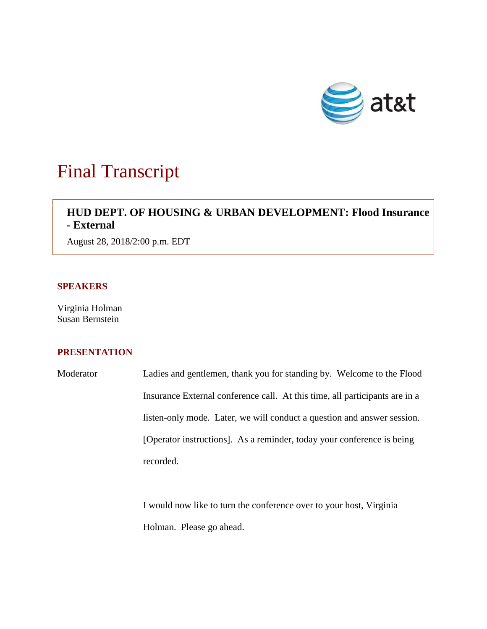

# Final Transcript

# **HUD DEPT. OF HOUSING & URBAN DEVELOPMENT: Flood Insurance - External**

August 28, 2018/2:00 p.m. EDT

## **SPEAKERS**

Virginia Holman Susan Bernstein

# **PRESENTATION**

Moderator Ladies and gentlemen, thank you for standing by. Welcome to the Flood Insurance External conference call. At this time, all participants are in a listen-only mode. Later, we will conduct a question and answer session. [Operator instructions]. As a reminder, today your conference is being recorded.

> I would now like to turn the conference over to your host, Virginia Holman. Please go ahead.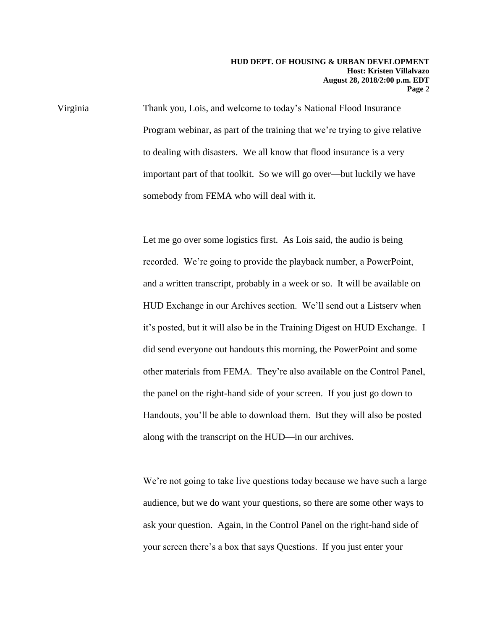Virginia Thank you, Lois, and welcome to today's National Flood Insurance Program webinar, as part of the training that we're trying to give relative to dealing with disasters. We all know that flood insurance is a very important part of that toolkit. So we will go over—but luckily we have somebody from FEMA who will deal with it.

> Let me go over some logistics first. As Lois said, the audio is being recorded. We're going to provide the playback number, a PowerPoint, and a written transcript, probably in a week or so. It will be available on HUD Exchange in our Archives section. We'll send out a Listserv when it's posted, but it will also be in the Training Digest on HUD Exchange. I did send everyone out handouts this morning, the PowerPoint and some other materials from FEMA. They're also available on the Control Panel, the panel on the right-hand side of your screen. If you just go down to Handouts, you'll be able to download them. But they will also be posted along with the transcript on the HUD—in our archives.

> We're not going to take live questions today because we have such a large audience, but we do want your questions, so there are some other ways to ask your question. Again, in the Control Panel on the right-hand side of your screen there's a box that says Questions. If you just enter your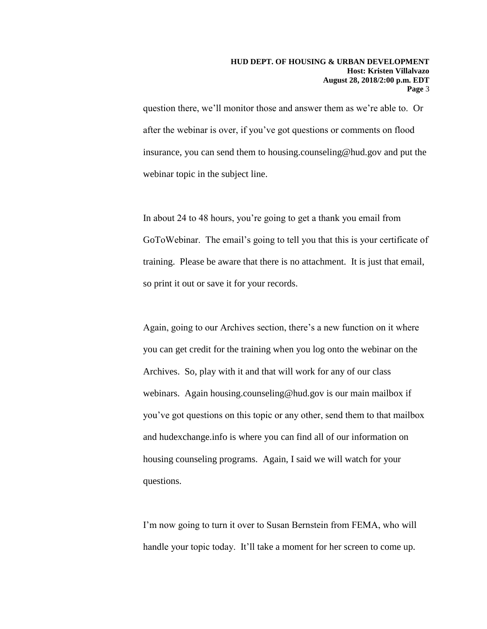question there, we'll monitor those and answer them as we're able to. Or after the webinar is over, if you've got questions or comments on flood insurance, you can send them to housing.counseling@hud.gov and put the webinar topic in the subject line.

In about 24 to 48 hours, you're going to get a thank you email from GoToWebinar. The email's going to tell you that this is your certificate of training. Please be aware that there is no attachment. It is just that email, so print it out or save it for your records.

Again, going to our Archives section, there's a new function on it where you can get credit for the training when you log onto the webinar on the Archives. So, play with it and that will work for any of our class webinars. Again housing.counseling@hud.gov is our main mailbox if you've got questions on this topic or any other, send them to that mailbox and hudexchange.info is where you can find all of our information on housing counseling programs. Again, I said we will watch for your questions.

I'm now going to turn it over to Susan Bernstein from FEMA, who will handle your topic today. It'll take a moment for her screen to come up.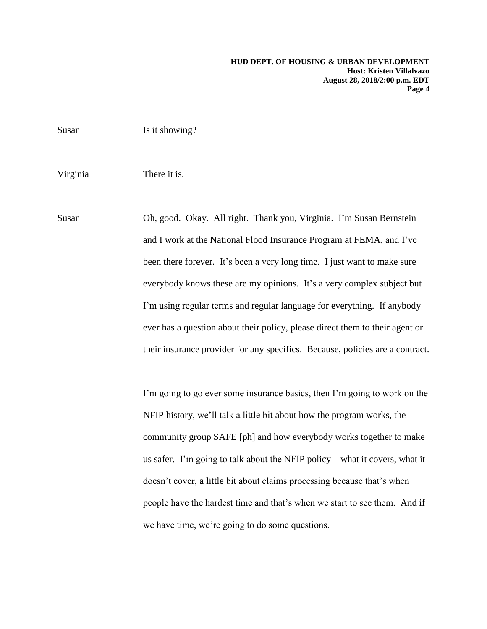Susan Is it showing? Virginia There it is. Susan Oh, good. Okay. All right. Thank you, Virginia. I'm Susan Bernstein and I work at the National Flood Insurance Program at FEMA, and I've been there forever. It's been a very long time. I just want to make sure everybody knows these are my opinions. It's a very complex subject but I'm using regular terms and regular language for everything. If anybody ever has a question about their policy, please direct them to their agent or their insurance provider for any specifics. Because, policies are a contract. I'm going to go ever some insurance basics, then I'm going to work on the

NFIP history, we'll talk a little bit about how the program works, the community group SAFE [ph] and how everybody works together to make us safer. I'm going to talk about the NFIP policy—what it covers, what it doesn't cover, a little bit about claims processing because that's when people have the hardest time and that's when we start to see them. And if we have time, we're going to do some questions.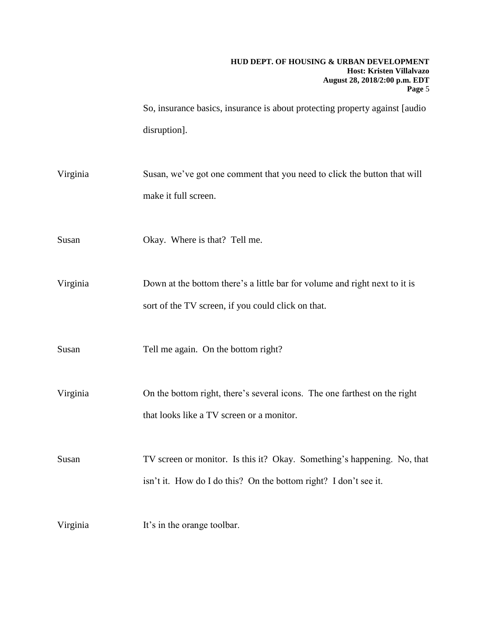### **HUD DEPT. OF HOUSING & URBAN DEVELOPMENT Host: Kristen Villalvazo August 28, 2018/2:00 p.m. EDT Page** 5

So, insurance basics, insurance is about protecting property against [audio disruption].

- Virginia Susan, we've got one comment that you need to click the button that will make it full screen.
- Susan Okay. Where is that? Tell me.

Virginia Down at the bottom there's a little bar for volume and right next to it is sort of the TV screen, if you could click on that.

- Susan Tell me again. On the bottom right?
- Virginia On the bottom right, there's several icons. The one farthest on the right that looks like a TV screen or a monitor.

Susan TV screen or monitor. Is this it? Okay. Something's happening. No, that isn't it. How do I do this? On the bottom right? I don't see it.

Virginia It's in the orange toolbar.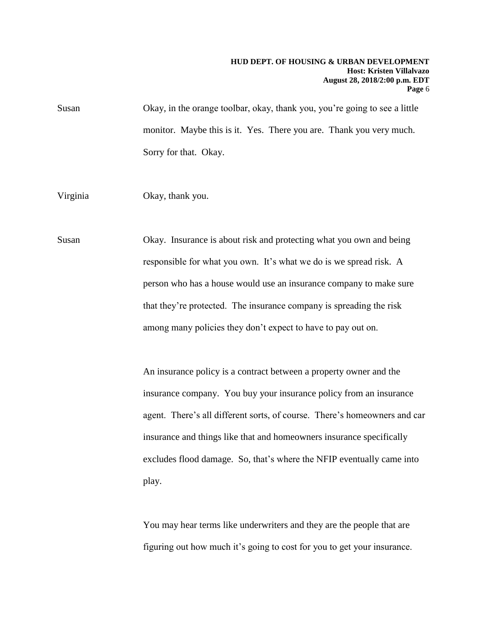#### **HUD DEPT. OF HOUSING & URBAN DEVELOPMENT Host: Kristen Villalvazo August 28, 2018/2:00 p.m. EDT Page** 6

Susan Okay, in the orange toolbar, okay, thank you, you're going to see a little monitor. Maybe this is it. Yes. There you are. Thank you very much. Sorry for that. Okay.

Virginia Okay, thank you.

Susan Okay. Insurance is about risk and protecting what you own and being responsible for what you own. It's what we do is we spread risk. A person who has a house would use an insurance company to make sure that they're protected. The insurance company is spreading the risk among many policies they don't expect to have to pay out on.

> An insurance policy is a contract between a property owner and the insurance company. You buy your insurance policy from an insurance agent. There's all different sorts, of course. There's homeowners and car insurance and things like that and homeowners insurance specifically excludes flood damage. So, that's where the NFIP eventually came into play.

You may hear terms like underwriters and they are the people that are figuring out how much it's going to cost for you to get your insurance.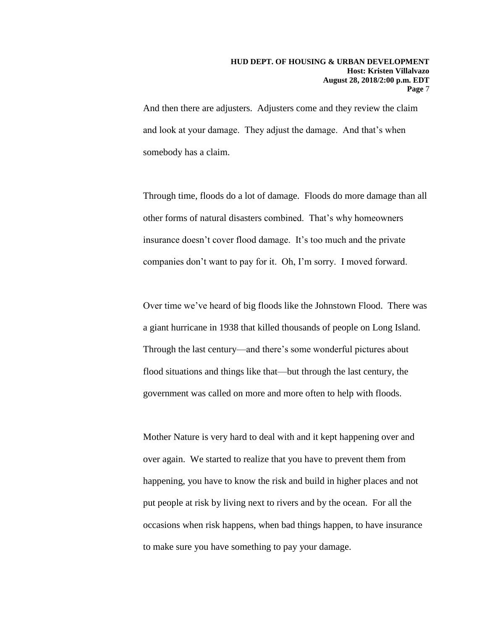And then there are adjusters. Adjusters come and they review the claim and look at your damage. They adjust the damage. And that's when somebody has a claim.

Through time, floods do a lot of damage. Floods do more damage than all other forms of natural disasters combined. That's why homeowners insurance doesn't cover flood damage. It's too much and the private companies don't want to pay for it. Oh, I'm sorry. I moved forward.

Over time we've heard of big floods like the Johnstown Flood. There was a giant hurricane in 1938 that killed thousands of people on Long Island. Through the last century—and there's some wonderful pictures about flood situations and things like that—but through the last century, the government was called on more and more often to help with floods.

Mother Nature is very hard to deal with and it kept happening over and over again. We started to realize that you have to prevent them from happening, you have to know the risk and build in higher places and not put people at risk by living next to rivers and by the ocean. For all the occasions when risk happens, when bad things happen, to have insurance to make sure you have something to pay your damage.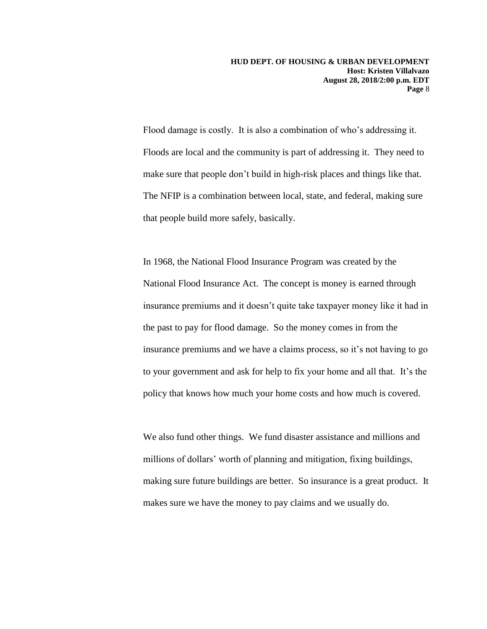Flood damage is costly. It is also a combination of who's addressing it. Floods are local and the community is part of addressing it. They need to make sure that people don't build in high-risk places and things like that. The NFIP is a combination between local, state, and federal, making sure that people build more safely, basically.

In 1968, the National Flood Insurance Program was created by the National Flood Insurance Act. The concept is money is earned through insurance premiums and it doesn't quite take taxpayer money like it had in the past to pay for flood damage. So the money comes in from the insurance premiums and we have a claims process, so it's not having to go to your government and ask for help to fix your home and all that. It's the policy that knows how much your home costs and how much is covered.

We also fund other things. We fund disaster assistance and millions and millions of dollars' worth of planning and mitigation, fixing buildings, making sure future buildings are better. So insurance is a great product. It makes sure we have the money to pay claims and we usually do.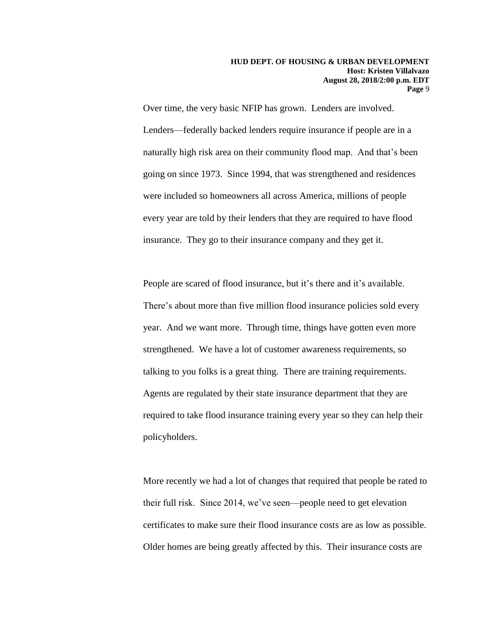Over time, the very basic NFIP has grown. Lenders are involved. Lenders—federally backed lenders require insurance if people are in a naturally high risk area on their community flood map. And that's been going on since 1973. Since 1994, that was strengthened and residences were included so homeowners all across America, millions of people every year are told by their lenders that they are required to have flood insurance. They go to their insurance company and they get it.

People are scared of flood insurance, but it's there and it's available. There's about more than five million flood insurance policies sold every year. And we want more. Through time, things have gotten even more strengthened. We have a lot of customer awareness requirements, so talking to you folks is a great thing. There are training requirements. Agents are regulated by their state insurance department that they are required to take flood insurance training every year so they can help their policyholders.

More recently we had a lot of changes that required that people be rated to their full risk. Since 2014, we've seen—people need to get elevation certificates to make sure their flood insurance costs are as low as possible. Older homes are being greatly affected by this. Their insurance costs are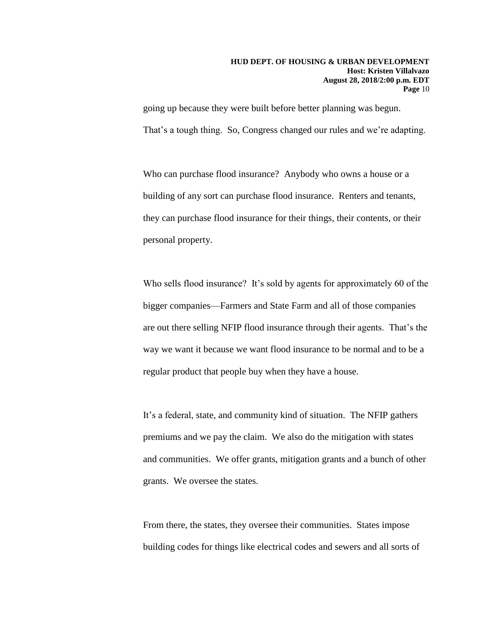going up because they were built before better planning was begun. That's a tough thing. So, Congress changed our rules and we're adapting.

Who can purchase flood insurance? Anybody who owns a house or a building of any sort can purchase flood insurance. Renters and tenants, they can purchase flood insurance for their things, their contents, or their personal property.

Who sells flood insurance? It's sold by agents for approximately 60 of the bigger companies—Farmers and State Farm and all of those companies are out there selling NFIP flood insurance through their agents. That's the way we want it because we want flood insurance to be normal and to be a regular product that people buy when they have a house.

It's a federal, state, and community kind of situation. The NFIP gathers premiums and we pay the claim. We also do the mitigation with states and communities. We offer grants, mitigation grants and a bunch of other grants. We oversee the states.

From there, the states, they oversee their communities. States impose building codes for things like electrical codes and sewers and all sorts of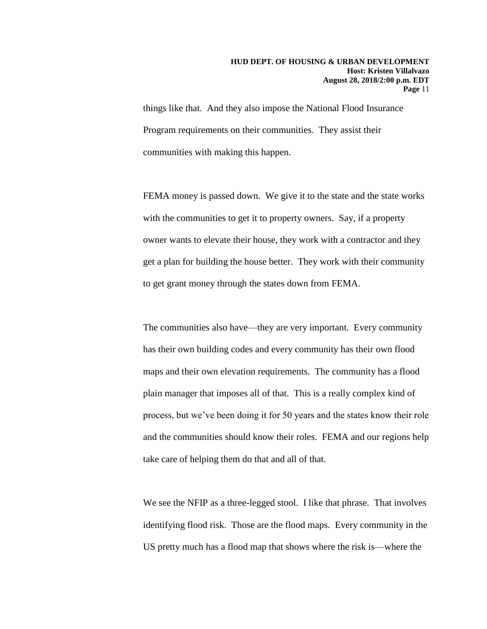things like that. And they also impose the National Flood Insurance Program requirements on their communities. They assist their communities with making this happen.

FEMA money is passed down. We give it to the state and the state works with the communities to get it to property owners. Say, if a property owner wants to elevate their house, they work with a contractor and they get a plan for building the house better. They work with their community to get grant money through the states down from FEMA.

The communities also have—they are very important. Every community has their own building codes and every community has their own flood maps and their own elevation requirements. The community has a flood plain manager that imposes all of that. This is a really complex kind of process, but we've been doing it for 50 years and the states know their role and the communities should know their roles. FEMA and our regions help take care of helping them do that and all of that.

We see the NFIP as a three-legged stool. I like that phrase. That involves identifying flood risk. Those are the flood maps. Every community in the US pretty much has a flood map that shows where the risk is—where the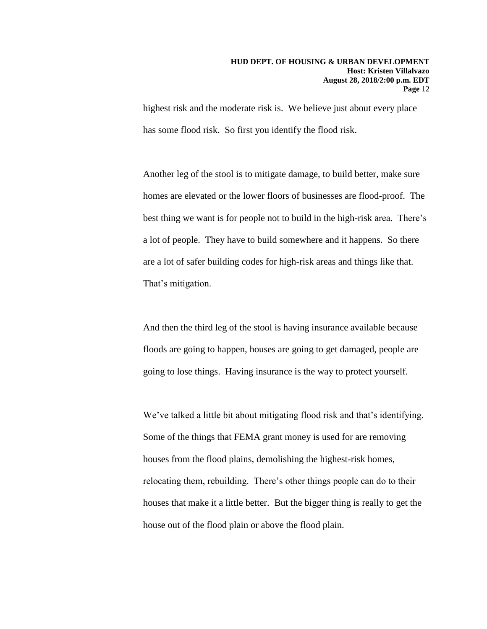highest risk and the moderate risk is. We believe just about every place has some flood risk. So first you identify the flood risk.

Another leg of the stool is to mitigate damage, to build better, make sure homes are elevated or the lower floors of businesses are flood-proof. The best thing we want is for people not to build in the high-risk area. There's a lot of people. They have to build somewhere and it happens. So there are a lot of safer building codes for high-risk areas and things like that. That's mitigation.

And then the third leg of the stool is having insurance available because floods are going to happen, houses are going to get damaged, people are going to lose things. Having insurance is the way to protect yourself.

We've talked a little bit about mitigating flood risk and that's identifying. Some of the things that FEMA grant money is used for are removing houses from the flood plains, demolishing the highest-risk homes, relocating them, rebuilding. There's other things people can do to their houses that make it a little better. But the bigger thing is really to get the house out of the flood plain or above the flood plain.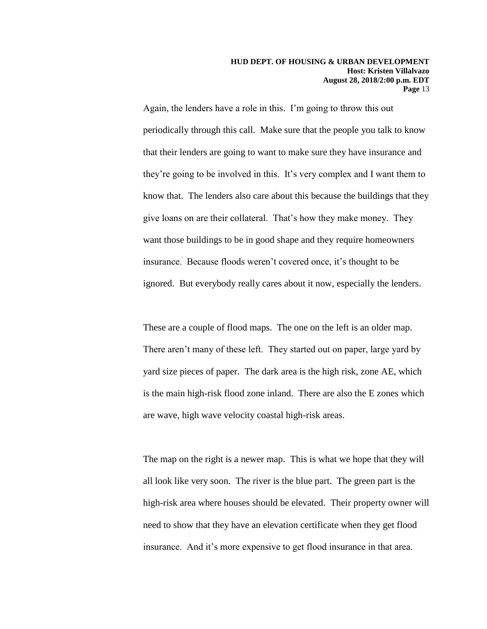Again, the lenders have a role in this. I'm going to throw this out periodically through this call. Make sure that the people you talk to know that their lenders are going to want to make sure they have insurance and they're going to be involved in this. It's very complex and I want them to know that. The lenders also care about this because the buildings that they give loans on are their collateral. That's how they make money. They want those buildings to be in good shape and they require homeowners insurance. Because floods weren't covered once, it's thought to be ignored. But everybody really cares about it now, especially the lenders.

These are a couple of flood maps. The one on the left is an older map. There aren't many of these left. They started out on paper, large yard by yard size pieces of paper. The dark area is the high risk, zone AE, which is the main high-risk flood zone inland. There are also the E zones which are wave, high wave velocity coastal high-risk areas.

The map on the right is a newer map. This is what we hope that they will all look like very soon. The river is the blue part. The green part is the high-risk area where houses should be elevated. Their property owner will need to show that they have an elevation certificate when they get flood insurance. And it's more expensive to get flood insurance in that area.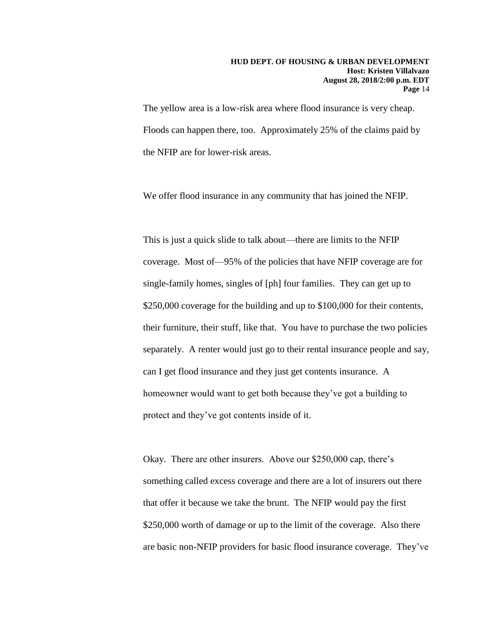The yellow area is a low-risk area where flood insurance is very cheap. Floods can happen there, too. Approximately 25% of the claims paid by the NFIP are for lower-risk areas.

We offer flood insurance in any community that has joined the NFIP.

This is just a quick slide to talk about—there are limits to the NFIP coverage. Most of—95% of the policies that have NFIP coverage are for single-family homes, singles of [ph] four families. They can get up to \$250,000 coverage for the building and up to \$100,000 for their contents, their furniture, their stuff, like that. You have to purchase the two policies separately. A renter would just go to their rental insurance people and say, can I get flood insurance and they just get contents insurance. A homeowner would want to get both because they've got a building to protect and they've got contents inside of it.

Okay. There are other insurers. Above our \$250,000 cap, there's something called excess coverage and there are a lot of insurers out there that offer it because we take the brunt. The NFIP would pay the first \$250,000 worth of damage or up to the limit of the coverage. Also there are basic non-NFIP providers for basic flood insurance coverage. They've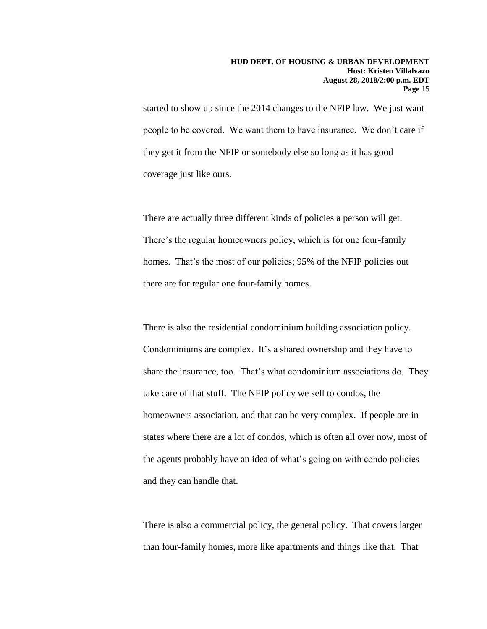started to show up since the 2014 changes to the NFIP law. We just want people to be covered. We want them to have insurance. We don't care if they get it from the NFIP or somebody else so long as it has good coverage just like ours.

There are actually three different kinds of policies a person will get. There's the regular homeowners policy, which is for one four-family homes. That's the most of our policies; 95% of the NFIP policies out there are for regular one four-family homes.

There is also the residential condominium building association policy. Condominiums are complex. It's a shared ownership and they have to share the insurance, too. That's what condominium associations do. They take care of that stuff. The NFIP policy we sell to condos, the homeowners association, and that can be very complex. If people are in states where there are a lot of condos, which is often all over now, most of the agents probably have an idea of what's going on with condo policies and they can handle that.

There is also a commercial policy, the general policy. That covers larger than four-family homes, more like apartments and things like that. That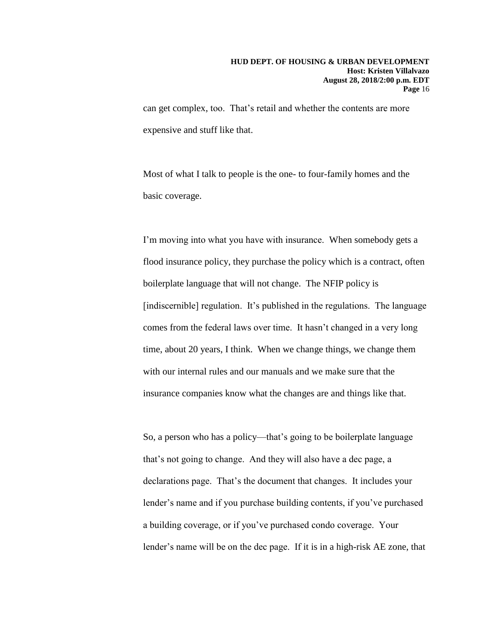can get complex, too. That's retail and whether the contents are more expensive and stuff like that.

Most of what I talk to people is the one- to four-family homes and the basic coverage.

I'm moving into what you have with insurance. When somebody gets a flood insurance policy, they purchase the policy which is a contract, often boilerplate language that will not change. The NFIP policy is [indiscernible] regulation. It's published in the regulations. The language comes from the federal laws over time. It hasn't changed in a very long time, about 20 years, I think. When we change things, we change them with our internal rules and our manuals and we make sure that the insurance companies know what the changes are and things like that.

So, a person who has a policy—that's going to be boilerplate language that's not going to change. And they will also have a dec page, a declarations page. That's the document that changes. It includes your lender's name and if you purchase building contents, if you've purchased a building coverage, or if you've purchased condo coverage. Your lender's name will be on the dec page. If it is in a high-risk AE zone, that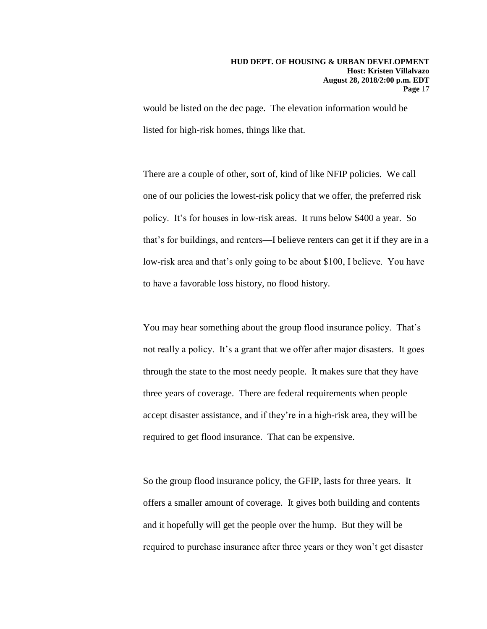would be listed on the dec page. The elevation information would be listed for high-risk homes, things like that.

There are a couple of other, sort of, kind of like NFIP policies. We call one of our policies the lowest-risk policy that we offer, the preferred risk policy. It's for houses in low-risk areas. It runs below \$400 a year. So that's for buildings, and renters—I believe renters can get it if they are in a low-risk area and that's only going to be about \$100, I believe. You have to have a favorable loss history, no flood history.

You may hear something about the group flood insurance policy. That's not really a policy. It's a grant that we offer after major disasters. It goes through the state to the most needy people. It makes sure that they have three years of coverage. There are federal requirements when people accept disaster assistance, and if they're in a high-risk area, they will be required to get flood insurance. That can be expensive.

So the group flood insurance policy, the GFIP, lasts for three years. It offers a smaller amount of coverage. It gives both building and contents and it hopefully will get the people over the hump. But they will be required to purchase insurance after three years or they won't get disaster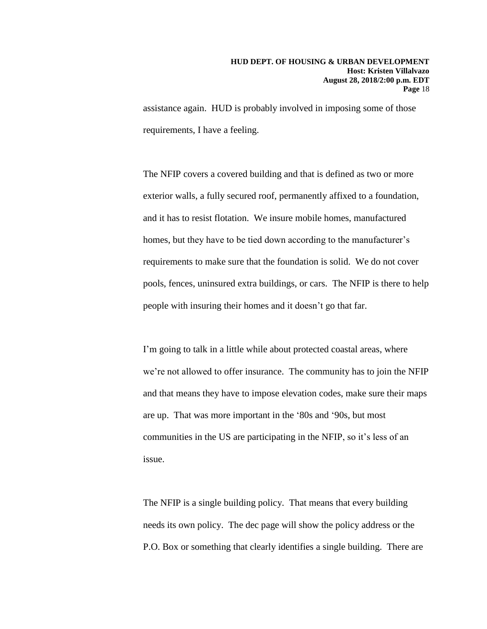assistance again. HUD is probably involved in imposing some of those requirements, I have a feeling.

The NFIP covers a covered building and that is defined as two or more exterior walls, a fully secured roof, permanently affixed to a foundation, and it has to resist flotation. We insure mobile homes, manufactured homes, but they have to be tied down according to the manufacturer's requirements to make sure that the foundation is solid. We do not cover pools, fences, uninsured extra buildings, or cars. The NFIP is there to help people with insuring their homes and it doesn't go that far.

I'm going to talk in a little while about protected coastal areas, where we're not allowed to offer insurance. The community has to join the NFIP and that means they have to impose elevation codes, make sure their maps are up. That was more important in the '80s and '90s, but most communities in the US are participating in the NFIP, so it's less of an issue.

The NFIP is a single building policy. That means that every building needs its own policy. The dec page will show the policy address or the P.O. Box or something that clearly identifies a single building. There are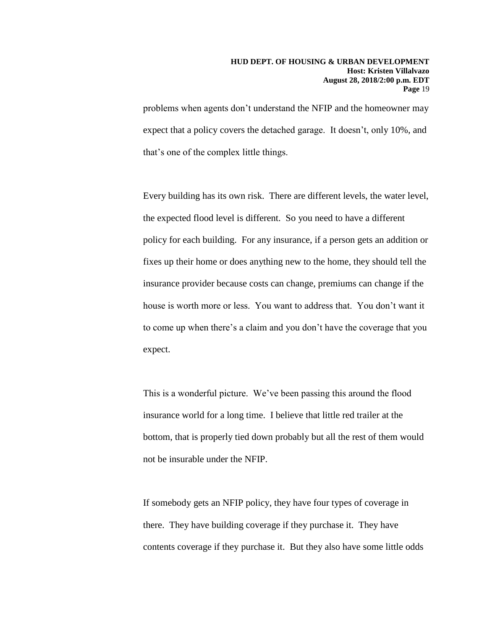problems when agents don't understand the NFIP and the homeowner may expect that a policy covers the detached garage. It doesn't, only 10%, and that's one of the complex little things.

Every building has its own risk. There are different levels, the water level, the expected flood level is different. So you need to have a different policy for each building. For any insurance, if a person gets an addition or fixes up their home or does anything new to the home, they should tell the insurance provider because costs can change, premiums can change if the house is worth more or less. You want to address that. You don't want it to come up when there's a claim and you don't have the coverage that you expect.

This is a wonderful picture. We've been passing this around the flood insurance world for a long time. I believe that little red trailer at the bottom, that is properly tied down probably but all the rest of them would not be insurable under the NFIP.

If somebody gets an NFIP policy, they have four types of coverage in there. They have building coverage if they purchase it. They have contents coverage if they purchase it. But they also have some little odds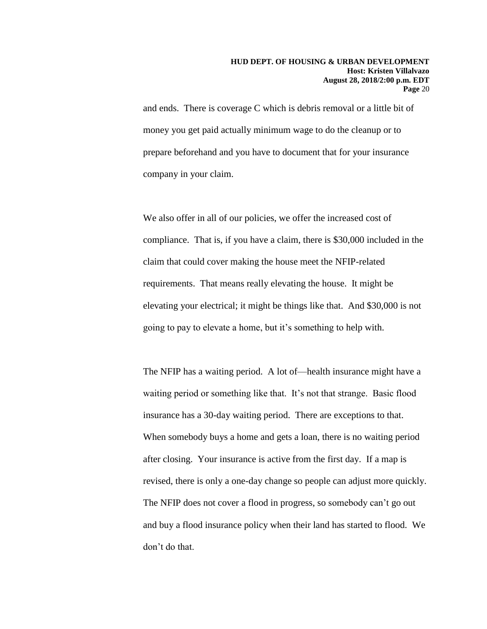and ends. There is coverage C which is debris removal or a little bit of money you get paid actually minimum wage to do the cleanup or to prepare beforehand and you have to document that for your insurance company in your claim.

We also offer in all of our policies, we offer the increased cost of compliance. That is, if you have a claim, there is \$30,000 included in the claim that could cover making the house meet the NFIP-related requirements. That means really elevating the house. It might be elevating your electrical; it might be things like that. And \$30,000 is not going to pay to elevate a home, but it's something to help with.

The NFIP has a waiting period. A lot of—health insurance might have a waiting period or something like that. It's not that strange. Basic flood insurance has a 30-day waiting period. There are exceptions to that. When somebody buys a home and gets a loan, there is no waiting period after closing. Your insurance is active from the first day. If a map is revised, there is only a one-day change so people can adjust more quickly. The NFIP does not cover a flood in progress, so somebody can't go out and buy a flood insurance policy when their land has started to flood. We don't do that.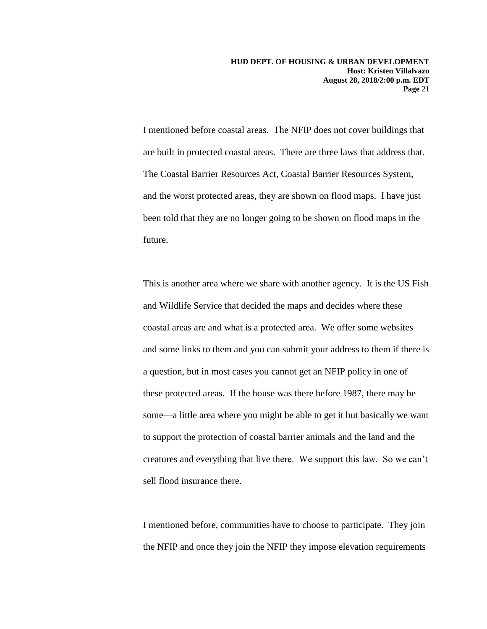I mentioned before coastal areas. The NFIP does not cover buildings that are built in protected coastal areas. There are three laws that address that. The Coastal Barrier Resources Act, Coastal Barrier Resources System, and the worst protected areas, they are shown on flood maps. I have just been told that they are no longer going to be shown on flood maps in the future.

This is another area where we share with another agency. It is the US Fish and Wildlife Service that decided the maps and decides where these coastal areas are and what is a protected area. We offer some websites and some links to them and you can submit your address to them if there is a question, but in most cases you cannot get an NFIP policy in one of these protected areas. If the house was there before 1987, there may be some—a little area where you might be able to get it but basically we want to support the protection of coastal barrier animals and the land and the creatures and everything that live there. We support this law. So we can't sell flood insurance there.

I mentioned before, communities have to choose to participate. They join the NFIP and once they join the NFIP they impose elevation requirements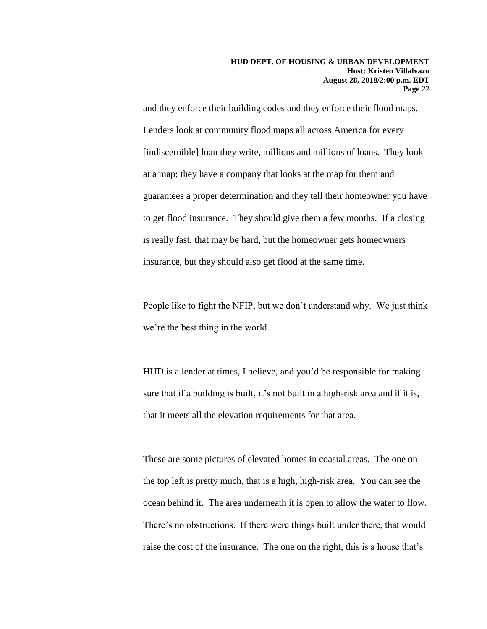and they enforce their building codes and they enforce their flood maps. Lenders look at community flood maps all across America for every [indiscernible] loan they write, millions and millions of loans. They look at a map; they have a company that looks at the map for them and guarantees a proper determination and they tell their homeowner you have to get flood insurance. They should give them a few months. If a closing is really fast, that may be hard, but the homeowner gets homeowners insurance, but they should also get flood at the same time.

People like to fight the NFIP, but we don't understand why. We just think we're the best thing in the world.

HUD is a lender at times, I believe, and you'd be responsible for making sure that if a building is built, it's not built in a high-risk area and if it is, that it meets all the elevation requirements for that area.

These are some pictures of elevated homes in coastal areas. The one on the top left is pretty much, that is a high, high-risk area. You can see the ocean behind it. The area underneath it is open to allow the water to flow. There's no obstructions. If there were things built under there, that would raise the cost of the insurance. The one on the right, this is a house that's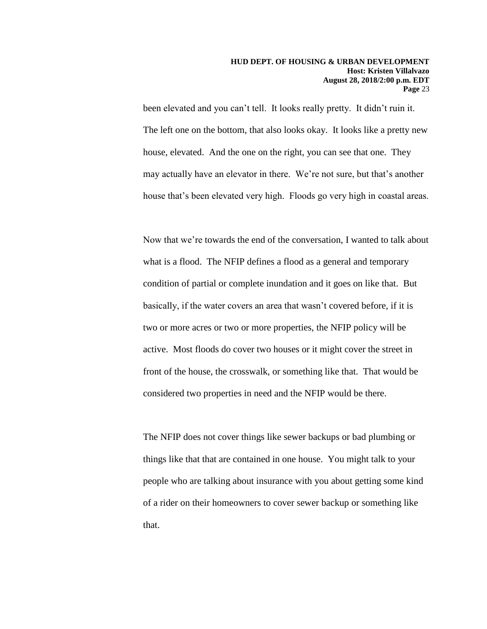been elevated and you can't tell. It looks really pretty. It didn't ruin it. The left one on the bottom, that also looks okay. It looks like a pretty new house, elevated. And the one on the right, you can see that one. They may actually have an elevator in there. We're not sure, but that's another house that's been elevated very high. Floods go very high in coastal areas.

Now that we're towards the end of the conversation, I wanted to talk about what is a flood. The NFIP defines a flood as a general and temporary condition of partial or complete inundation and it goes on like that. But basically, if the water covers an area that wasn't covered before, if it is two or more acres or two or more properties, the NFIP policy will be active. Most floods do cover two houses or it might cover the street in front of the house, the crosswalk, or something like that. That would be considered two properties in need and the NFIP would be there.

The NFIP does not cover things like sewer backups or bad plumbing or things like that that are contained in one house. You might talk to your people who are talking about insurance with you about getting some kind of a rider on their homeowners to cover sewer backup or something like that.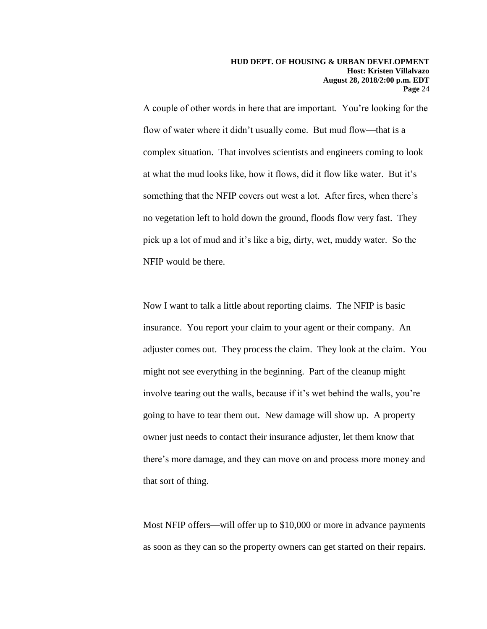A couple of other words in here that are important. You're looking for the flow of water where it didn't usually come. But mud flow—that is a complex situation. That involves scientists and engineers coming to look at what the mud looks like, how it flows, did it flow like water. But it's something that the NFIP covers out west a lot. After fires, when there's no vegetation left to hold down the ground, floods flow very fast. They pick up a lot of mud and it's like a big, dirty, wet, muddy water. So the NFIP would be there.

Now I want to talk a little about reporting claims. The NFIP is basic insurance. You report your claim to your agent or their company. An adjuster comes out. They process the claim. They look at the claim. You might not see everything in the beginning. Part of the cleanup might involve tearing out the walls, because if it's wet behind the walls, you're going to have to tear them out. New damage will show up. A property owner just needs to contact their insurance adjuster, let them know that there's more damage, and they can move on and process more money and that sort of thing.

Most NFIP offers—will offer up to \$10,000 or more in advance payments as soon as they can so the property owners can get started on their repairs.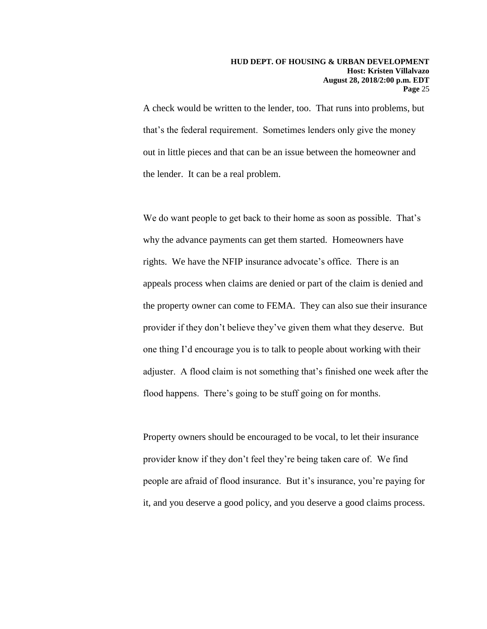A check would be written to the lender, too. That runs into problems, but that's the federal requirement. Sometimes lenders only give the money out in little pieces and that can be an issue between the homeowner and the lender. It can be a real problem.

We do want people to get back to their home as soon as possible. That's why the advance payments can get them started. Homeowners have rights. We have the NFIP insurance advocate's office. There is an appeals process when claims are denied or part of the claim is denied and the property owner can come to FEMA. They can also sue their insurance provider if they don't believe they've given them what they deserve. But one thing I'd encourage you is to talk to people about working with their adjuster. A flood claim is not something that's finished one week after the flood happens. There's going to be stuff going on for months.

Property owners should be encouraged to be vocal, to let their insurance provider know if they don't feel they're being taken care of. We find people are afraid of flood insurance. But it's insurance, you're paying for it, and you deserve a good policy, and you deserve a good claims process.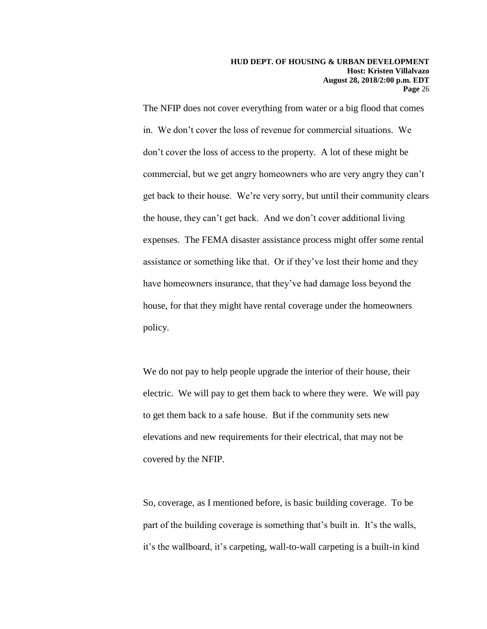The NFIP does not cover everything from water or a big flood that comes in. We don't cover the loss of revenue for commercial situations. We don't cover the loss of access to the property. A lot of these might be commercial, but we get angry homeowners who are very angry they can't get back to their house. We're very sorry, but until their community clears the house, they can't get back. And we don't cover additional living expenses. The FEMA disaster assistance process might offer some rental assistance or something like that. Or if they've lost their home and they have homeowners insurance, that they've had damage loss beyond the house, for that they might have rental coverage under the homeowners policy.

We do not pay to help people upgrade the interior of their house, their electric. We will pay to get them back to where they were. We will pay to get them back to a safe house. But if the community sets new elevations and new requirements for their electrical, that may not be covered by the NFIP.

So, coverage, as I mentioned before, is basic building coverage. To be part of the building coverage is something that's built in. It's the walls, it's the wallboard, it's carpeting, wall-to-wall carpeting is a built-in kind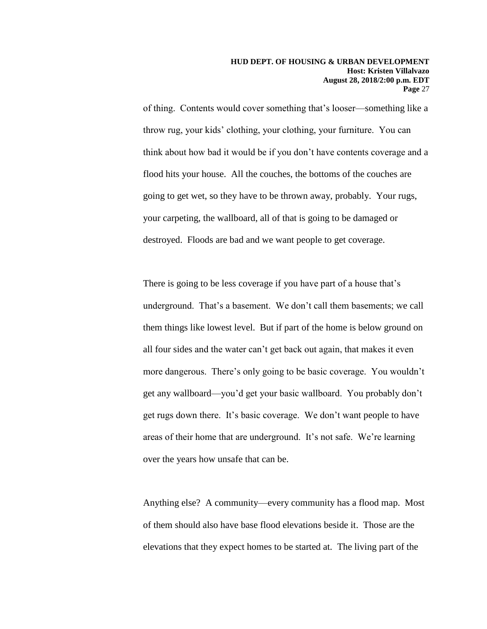of thing. Contents would cover something that's looser—something like a throw rug, your kids' clothing, your clothing, your furniture. You can think about how bad it would be if you don't have contents coverage and a flood hits your house. All the couches, the bottoms of the couches are going to get wet, so they have to be thrown away, probably. Your rugs, your carpeting, the wallboard, all of that is going to be damaged or destroyed. Floods are bad and we want people to get coverage.

There is going to be less coverage if you have part of a house that's underground. That's a basement. We don't call them basements; we call them things like lowest level. But if part of the home is below ground on all four sides and the water can't get back out again, that makes it even more dangerous. There's only going to be basic coverage. You wouldn't get any wallboard—you'd get your basic wallboard. You probably don't get rugs down there. It's basic coverage. We don't want people to have areas of their home that are underground. It's not safe. We're learning over the years how unsafe that can be.

Anything else? A community—every community has a flood map. Most of them should also have base flood elevations beside it. Those are the elevations that they expect homes to be started at. The living part of the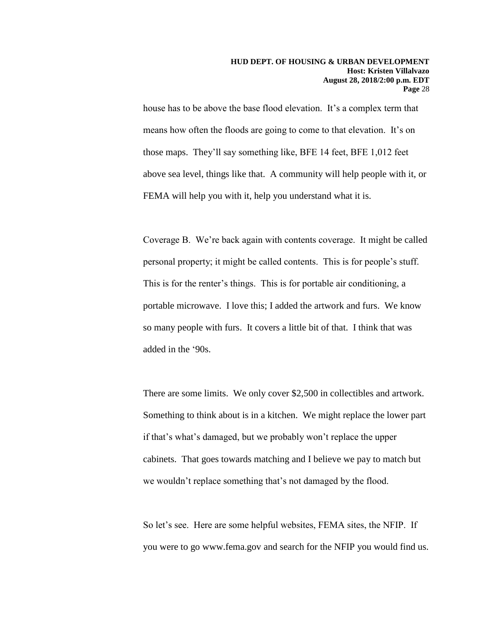house has to be above the base flood elevation. It's a complex term that means how often the floods are going to come to that elevation. It's on those maps. They'll say something like, BFE 14 feet, BFE 1,012 feet above sea level, things like that. A community will help people with it, or FEMA will help you with it, help you understand what it is.

Coverage B. We're back again with contents coverage. It might be called personal property; it might be called contents. This is for people's stuff. This is for the renter's things. This is for portable air conditioning, a portable microwave. I love this; I added the artwork and furs. We know so many people with furs. It covers a little bit of that. I think that was added in the '90s.

There are some limits. We only cover \$2,500 in collectibles and artwork. Something to think about is in a kitchen. We might replace the lower part if that's what's damaged, but we probably won't replace the upper cabinets. That goes towards matching and I believe we pay to match but we wouldn't replace something that's not damaged by the flood.

So let's see. Here are some helpful websites, FEMA sites, the NFIP. If you were to go www.fema.gov and search for the NFIP you would find us.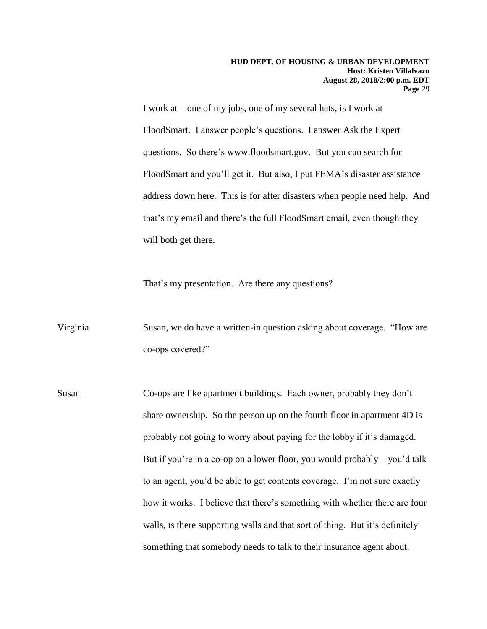I work at—one of my jobs, one of my several hats, is I work at FloodSmart. I answer people's questions. I answer Ask the Expert questions. So there's www.floodsmart.gov. But you can search for FloodSmart and you'll get it. But also, I put FEMA's disaster assistance address down here. This is for after disasters when people need help. And that's my email and there's the full FloodSmart email, even though they will both get there.

That's my presentation. Are there any questions?

Virginia Susan, we do have a written-in question asking about coverage. "How are co-ops covered?"

Susan Co-ops are like apartment buildings. Each owner, probably they don't share ownership. So the person up on the fourth floor in apartment 4D is probably not going to worry about paying for the lobby if it's damaged. But if you're in a co-op on a lower floor, you would probably—you'd talk to an agent, you'd be able to get contents coverage. I'm not sure exactly how it works. I believe that there's something with whether there are four walls, is there supporting walls and that sort of thing. But it's definitely something that somebody needs to talk to their insurance agent about.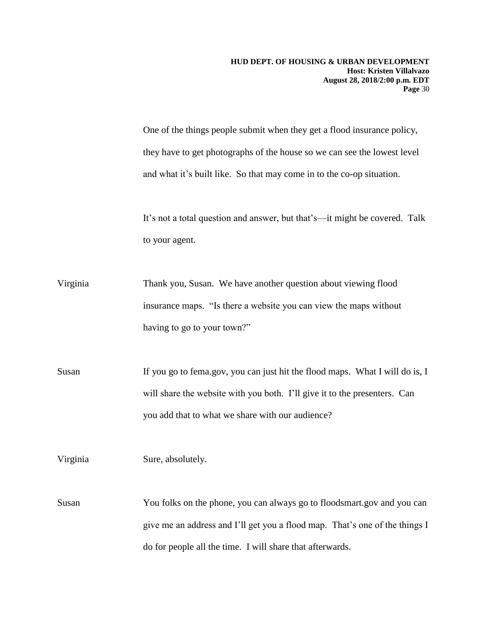One of the things people submit when they get a flood insurance policy, they have to get photographs of the house so we can see the lowest level and what it's built like. So that may come in to the co-op situation.

It's not a total question and answer, but that's—it might be covered. Talk to your agent.

Virginia Thank you, Susan. We have another question about viewing flood insurance maps. "Is there a website you can view the maps without having to go to your town?"

Susan If you go to fema.gov, you can just hit the flood maps. What I will do is, I will share the website with you both. I'll give it to the presenters. Can you add that to what we share with our audience?

Virginia Sure, absolutely.

Susan You folks on the phone, you can always go to floodsmart.gov and you can give me an address and I'll get you a flood map. That's one of the things I do for people all the time. I will share that afterwards.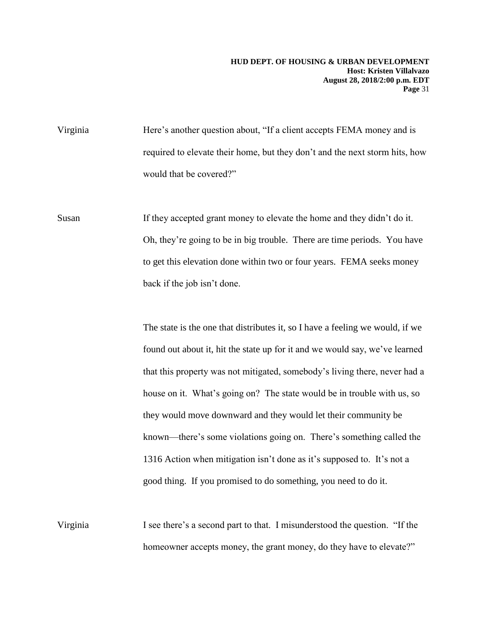Virginia Here's another question about, "If a client accepts FEMA money and is required to elevate their home, but they don't and the next storm hits, how would that be covered?"

Susan If they accepted grant money to elevate the home and they didn't do it. Oh, they're going to be in big trouble. There are time periods. You have to get this elevation done within two or four years. FEMA seeks money back if the job isn't done.

> The state is the one that distributes it, so I have a feeling we would, if we found out about it, hit the state up for it and we would say, we've learned that this property was not mitigated, somebody's living there, never had a house on it. What's going on? The state would be in trouble with us, so they would move downward and they would let their community be known—there's some violations going on. There's something called the 1316 Action when mitigation isn't done as it's supposed to. It's not a good thing. If you promised to do something, you need to do it.

Virginia I see there's a second part to that. I misunderstood the question. "If the homeowner accepts money, the grant money, do they have to elevate?"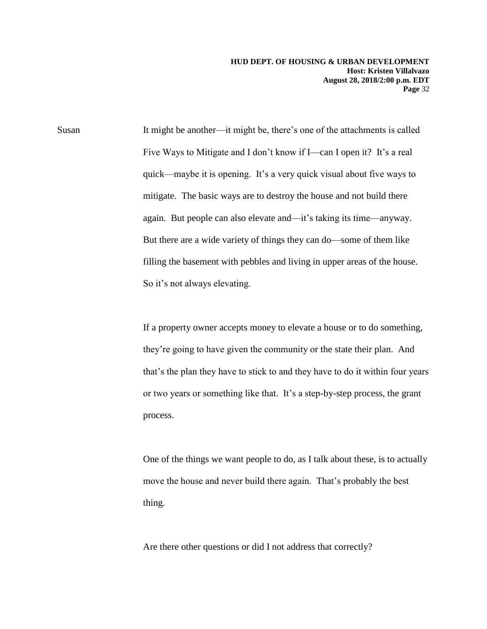Susan It might be another—it might be, there's one of the attachments is called Five Ways to Mitigate and I don't know if I—can I open it? It's a real quick—maybe it is opening. It's a very quick visual about five ways to mitigate. The basic ways are to destroy the house and not build there again. But people can also elevate and—it's taking its time—anyway. But there are a wide variety of things they can do—some of them like filling the basement with pebbles and living in upper areas of the house. So it's not always elevating.

> If a property owner accepts money to elevate a house or to do something, they're going to have given the community or the state their plan. And that's the plan they have to stick to and they have to do it within four years or two years or something like that. It's a step-by-step process, the grant process.

> One of the things we want people to do, as I talk about these, is to actually move the house and never build there again. That's probably the best thing.

Are there other questions or did I not address that correctly?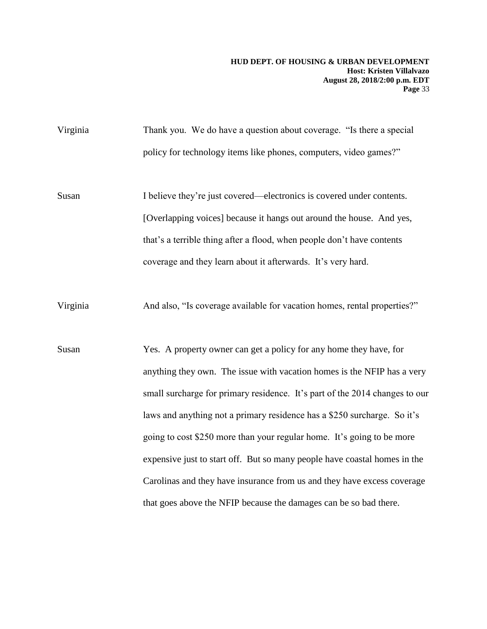Virginia Thank you. We do have a question about coverage. "Is there a special policy for technology items like phones, computers, video games?"

Susan I believe they're just covered—electronics is covered under contents. [Overlapping voices] because it hangs out around the house. And yes, that's a terrible thing after a flood, when people don't have contents coverage and they learn about it afterwards. It's very hard.

Virginia And also, "Is coverage available for vacation homes, rental properties?"

Susan Yes. A property owner can get a policy for any home they have, for anything they own. The issue with vacation homes is the NFIP has a very small surcharge for primary residence. It's part of the 2014 changes to our laws and anything not a primary residence has a \$250 surcharge. So it's going to cost \$250 more than your regular home. It's going to be more expensive just to start off. But so many people have coastal homes in the Carolinas and they have insurance from us and they have excess coverage that goes above the NFIP because the damages can be so bad there.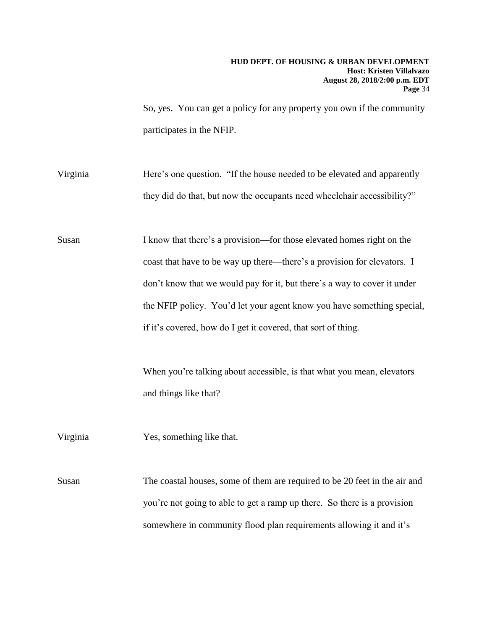So, yes. You can get a policy for any property you own if the community participates in the NFIP.

Virginia Here's one question. "If the house needed to be elevated and apparently they did do that, but now the occupants need wheelchair accessibility?"

Susan I know that there's a provision—for those elevated homes right on the coast that have to be way up there—there's a provision for elevators. I don't know that we would pay for it, but there's a way to cover it under the NFIP policy. You'd let your agent know you have something special, if it's covered, how do I get it covered, that sort of thing.

> When you're talking about accessible, is that what you mean, elevators and things like that?

Virginia Yes, something like that.

Susan The coastal houses, some of them are required to be 20 feet in the air and you're not going to able to get a ramp up there. So there is a provision somewhere in community flood plan requirements allowing it and it's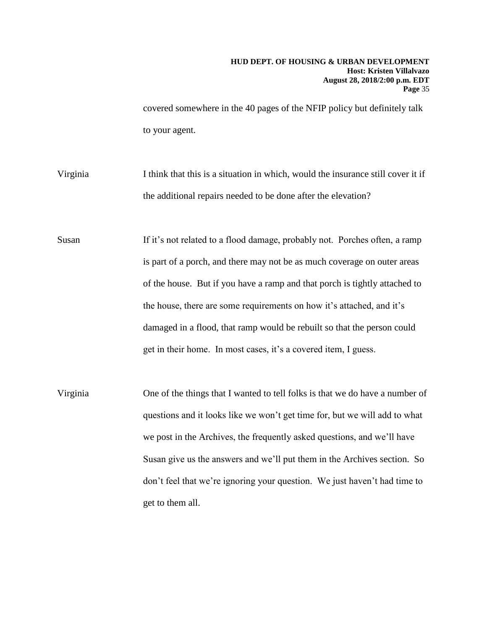covered somewhere in the 40 pages of the NFIP policy but definitely talk to your agent.

- Virginia I think that this is a situation in which, would the insurance still cover it if the additional repairs needed to be done after the elevation?
- Susan If it's not related to a flood damage, probably not. Porches often, a ramp is part of a porch, and there may not be as much coverage on outer areas of the house. But if you have a ramp and that porch is tightly attached to the house, there are some requirements on how it's attached, and it's damaged in a flood, that ramp would be rebuilt so that the person could get in their home. In most cases, it's a covered item, I guess.
- Virginia One of the things that I wanted to tell folks is that we do have a number of questions and it looks like we won't get time for, but we will add to what we post in the Archives, the frequently asked questions, and we'll have Susan give us the answers and we'll put them in the Archives section. So don't feel that we're ignoring your question. We just haven't had time to get to them all.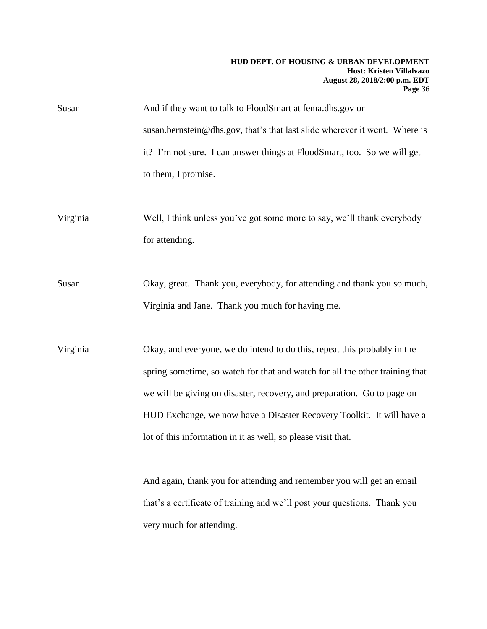| Susan | And if they want to talk to FloodSmart at fema.dhs.gov or                  |
|-------|----------------------------------------------------------------------------|
|       | susan.bernstein@dhs.gov, that's that last slide wherever it went. Where is |
|       | it? I'm not sure. I can answer things at FloodSmart, too. So we will get   |
|       | to them, I promise.                                                        |

Virginia Well, I think unless you've got some more to say, we'll thank everybody for attending.

Susan Okay, great. Thank you, everybody, for attending and thank you so much, Virginia and Jane. Thank you much for having me.

Virginia Okay, and everyone, we do intend to do this, repeat this probably in the spring sometime, so watch for that and watch for all the other training that we will be giving on disaster, recovery, and preparation. Go to page on HUD Exchange, we now have a Disaster Recovery Toolkit. It will have a lot of this information in it as well, so please visit that.

> And again, thank you for attending and remember you will get an email that's a certificate of training and we'll post your questions. Thank you very much for attending.